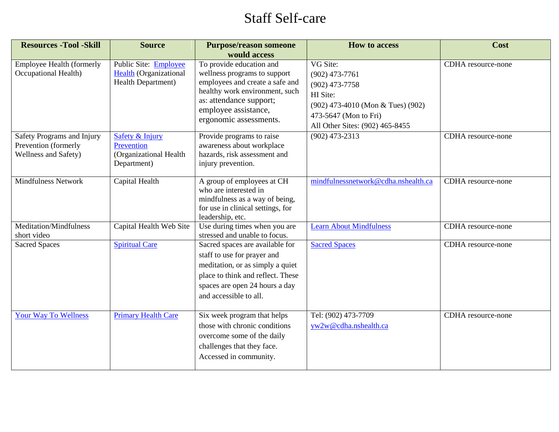## Staff Self-care

| <b>Resources - Tool - Skill</b>                                            | <b>Source</b>                                                                     | <b>Purpose/reason someone</b><br>would access                                                                                                                                                              | <b>How to access</b>                                                                                                                                          | Cost               |
|----------------------------------------------------------------------------|-----------------------------------------------------------------------------------|------------------------------------------------------------------------------------------------------------------------------------------------------------------------------------------------------------|---------------------------------------------------------------------------------------------------------------------------------------------------------------|--------------------|
| Employee Health (formerly<br>Occupational Health)                          | Public Site: Employee<br><b>Health</b> (Organizational<br>Health Department)      | To provide education and<br>wellness programs to support<br>employees and create a safe and<br>healthy work environment, such<br>as: attendance support;<br>employee assistance,<br>ergonomic assessments. | VG Site:<br>$(902)$ 473-7761<br>$(902)$ 473-7758<br>HI Site:<br>(902) 473-4010 (Mon & Tues) (902)<br>473-5647 (Mon to Fri)<br>All Other Sites: (902) 465-8455 | CDHA resource-none |
| Safety Programs and Injury<br>Prevention (formerly<br>Wellness and Safety) | <b>Safety &amp; Injury</b><br>Prevention<br>(Organizational Health<br>Department) | Provide programs to raise<br>awareness about workplace<br>hazards, risk assessment and<br>injury prevention.                                                                                               | $(902)$ 473-2313                                                                                                                                              | CDHA resource-none |
| <b>Mindfulness Network</b>                                                 | Capital Health                                                                    | A group of employees at CH<br>who are interested in<br>mindfulness as a way of being,<br>for use in clinical settings, for<br>leadership, etc.                                                             | mindfulnessnetwork@cdha.nshealth.ca                                                                                                                           | CDHA resource-none |
| Meditation/Mindfulness<br>short video                                      | Capital Health Web Site                                                           | Use during times when you are<br>stressed and unable to focus.                                                                                                                                             | <b>Learn About Mindfulness</b>                                                                                                                                | CDHA resource-none |
| <b>Sacred Spaces</b>                                                       | <b>Spiritual Care</b>                                                             | Sacred spaces are available for<br>staff to use for prayer and<br>meditation, or as simply a quiet<br>place to think and reflect. These<br>spaces are open 24 hours a day<br>and accessible to all.        | <b>Sacred Spaces</b>                                                                                                                                          | CDHA resource-none |
| <b>Your Way To Wellness</b>                                                | <b>Primary Health Care</b>                                                        | Six week program that helps<br>those with chronic conditions<br>overcome some of the daily<br>challenges that they face.<br>Accessed in community.                                                         | Tel: (902) 473-7709<br>yw2w@cdha.nshealth.ca                                                                                                                  | CDHA resource-none |